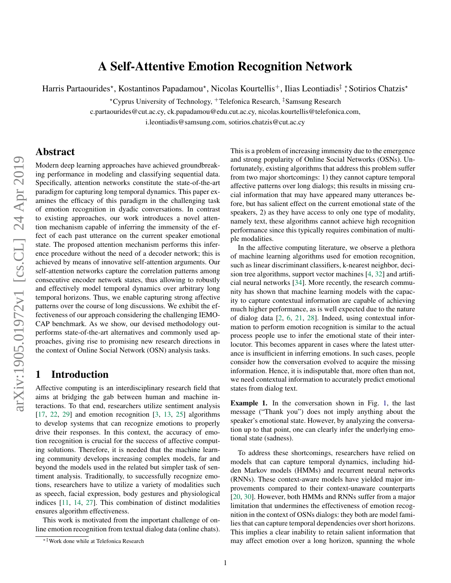# A Self-Attentive Emotion Recognition Network

Harris Partaourides\*, Kostantinos Papadamou\*, Nicolas Kourtellis<sup>+</sup>, Ilias Leontiadis‡ \*, Sotirios Chatzis\*

?Cyprus University of Technology, <sup>+</sup>Telefonica Research, ‡Samsung Research

c.partaourides@cut.ac.cy, ck.papadamou@edu.cut.ac.cy, nicolas.kourtellis@telefonica.com,

i.leontiadis@samsung.com, sotirios.chatzis@cut.ac.cy

### Abstract

Modern deep learning approaches have achieved groundbreaking performance in modeling and classifying sequential data. Specifically, attention networks constitute the state-of-the-art paradigm for capturing long temporal dynamics. This paper examines the efficacy of this paradigm in the challenging task of emotion recognition in dyadic conversations. In contrast to existing approaches, our work introduces a novel attention mechanism capable of inferring the immensity of the effect of each past utterance on the current speaker emotional state. The proposed attention mechanism performs this inference procedure without the need of a decoder network; this is achieved by means of innovative self-attention arguments. Our self-attention networks capture the correlation patterns among consecutive encoder network states, thus allowing to robustly and effectively model temporal dynamics over arbitrary long temporal horizons. Thus, we enable capturing strong affective patterns over the course of long discussions. We exhibit the effectiveness of our approach considering the challenging IEMO-CAP benchmark. As we show, our devised methodology outperforms state-of-the-art alternatives and commonly used approaches, giving rise to promising new research directions in the context of Online Social Network (OSN) analysis tasks.

### 1 Introduction

Affective computing is an interdisciplinary research field that aims at bridging the gab between human and machine interactions. To that end, researchers utilize sentiment analysis [\[17,](#page-6-0) [22,](#page-6-1) [29\]](#page-7-0) and emotion recognition [\[3,](#page-6-2) [13,](#page-6-3) [25\]](#page-7-1) algorithms to develop systems that can recognize emotions to properly drive their responses. In this context, the accuracy of emotion recognition is crucial for the success of affective computing solutions. Therefore, it is needed that the machine learning community develops increasing complex models, far and beyond the models used in the related but simpler task of sentiment analysis. Traditionally, to successfully recognize emotions, researchers have to utilize a variety of modalities such as speech, facial expression, body gestures and physiological indices [\[11,](#page-6-4) [14,](#page-6-5) [27\]](#page-7-2). This combination of distinct modalities ensures algorithm effectiveness.

This work is motivated from the important challenge of online emotion recognition from textual dialog data (online chats). This is a problem of increasing immensity due to the emergence and strong popularity of Online Social Networks (OSNs). Unfortunately, existing algorithms that address this problem suffer from two major shortcomings: 1) they cannot capture temporal affective patterns over long dialogs; this results in missing crucial information that may have appeared many utterances before, but has salient effect on the current emotional state of the speakers, 2) as they have access to only one type of modality, namely text, these algorithms cannot achieve high recognition performance since this typically requires combination of multiple modalities.

In the affective computing literature, we observe a plethora of machine learning algorithms used for emotion recognition, such as linear discriminant classifiers, k-nearest neighbor, decision tree algorithms, support vector machines [\[4,](#page-6-6) [32\]](#page-7-3) and artificial neural networks [\[34\]](#page-7-4). More recently, the research community has shown that machine learning models with the capacity to capture contextual information are capable of achieving much higher performance, as is well expected due to the nature of dialog data [\[2,](#page-6-7) [6,](#page-6-8) [21,](#page-6-9) [28\]](#page-7-5). Indeed, using contextual information to perform emotion recognition is similar to the actual process people use to infer the emotional state of their interlocutor. This becomes apparent in cases where the latest utterance is insufficient in inferring emotions. In such cases, people consider how the conversation evolved to acquire the missing information. Hence, it is indisputable that, more often than not, we need contextual information to accurately predict emotional states from dialog text.

Example 1. In the conversation shown in Fig. [1,](#page-1-0) the last message ("Thank you") does not imply anything about the speaker's emotional state. However, by analyzing the conversation up to that point, one can clearly infer the underlying emotional state (sadness).

To address these shortcomings, researchers have relied on models that can capture temporal dynamics, including hidden Markov models (HMMs) and recurrent neural networks (RNNs). These context-aware models have yielded major improvements compared to their context-unaware counterparts [\[20,](#page-6-10) [30\]](#page-7-6). However, both HMMs and RNNs suffer from a major limitation that undermines the effectiveness of emotion recognition in the context of OSNs dialogs: they both are model families that can capture temporal dependencies over short horizons. This implies a clear inability to retain salient information that may affect emotion over a long horizon, spanning the whole

<sup>∗‡</sup>Work done while at Telefonica Research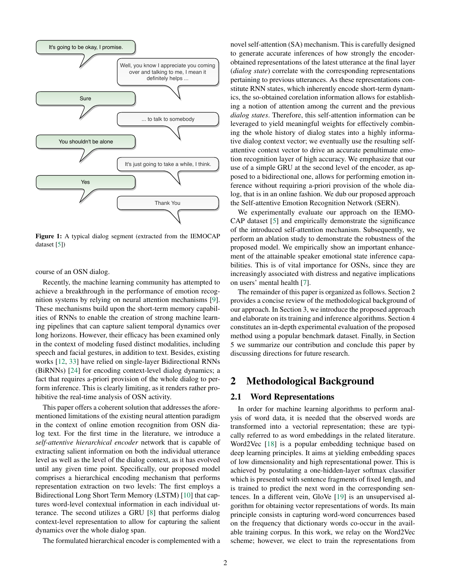<span id="page-1-0"></span>

Figure 1: A typical dialog segment (extracted from the IEMOCAP dataset [\[5\]](#page-6-11))

course of an OSN dialog.

Recently, the machine learning community has attempted to achieve a breakthrough in the performance of emotion recognition systems by relying on neural attention mechanisms [\[9\]](#page-6-12). These mechanisms build upon the short-term memory capabilities of RNNs to enable the creation of strong machine learning pipelines that can capture salient temporal dynamics over long horizons. However, their efficacy has been examined only in the context of modeling fused distinct modalities, including speech and facial gestures, in addition to text. Besides, existing works [\[12,](#page-6-13) [33\]](#page-7-7) have relied on single-layer Bidirectional RNNs (BiRNNs) [\[24\]](#page-7-8) for encoding context-level dialog dynamics; a fact that requires a-priori provision of the whole dialog to perform inference. This is clearly limiting, as it renders rather prohibitive the real-time analysis of OSN activity.

This paper offers a coherent solution that addresses the aforementioned limitations of the existing neural attention paradigm in the context of online emotion recognition from OSN dialog text. For the first time in the literature, we introduce a *self-attentive hierarchical encoder* network that is capable of extracting salient information on both the individual utterance level as well as the level of the dialog context, as it has evolved until any given time point. Specifically, our proposed model comprises a hierarchical encoding mechanism that performs representation extraction on two levels: The first employs a Bidirectional Long Short Term Memory (LSTM) [\[10\]](#page-6-14) that captures word-level contextual information in each individual utterance. The second utilizes a GRU [\[8\]](#page-6-15) that performs dialog context-level representation to allow for capturing the salient dynamics over the whole dialog span.

The formulated hierarchical encoder is complemented with a

novel self-attention (SA) mechanism. This is carefully designed to generate accurate inferences of how strongly the encoderobtained representations of the latest utterance at the final layer (*dialog state*) correlate with the corresponding representations pertaining to previous utterances. As these representations constitute RNN states, which inherently encode short-term dynamics, the so-obtained corelation information allows for establishing a notion of attention among the current and the previous *dialog states*. Therefore, this self-attention information can be leveraged to yield meaningful weights for effectively combining the whole history of dialog states into a highly informative dialog context vector; we eventually use the resulting selfattentive context vector to drive an accurate penultimate emotion recognition layer of high accuracy. We emphasize that our use of a simple GRU at the second level of the encoder, as apposed to a bidirectional one, allows for performing emotion inference without requiring a-priori provision of the whole dialog, that is in an online fashion. We dub our proposed approach the Self-attentive Emotion Recognition Network (SERN).

We experimentally evaluate our approach on the IEMO-CAP dataset [\[5\]](#page-6-11) and empirically demonstrate the significance of the introduced self-attention mechanism. Subsequently, we perform an ablation study to demonstrate the robustness of the proposed model. We empirically show an important enhancement of the attainable speaker emotional state inference capabilities. This is of vital importance for OSNs, since they are increasingly associated with distress and negative implications on users' mental health [\[7\]](#page-6-16).

The remainder of this paper is organized as follows. Section 2 provides a concise review of the methodological background of our approach. In Section 3, we introduce the proposed approach and elaborate on its training and inference algorithms. Section 4 constitutes an in-depth experimental evaluation of the proposed method using a popular benchmark dataset. Finally, in Section 5 we summarize our contribution and conclude this paper by discussing directions for future research.

# 2 Methodological Background

#### 2.1 Word Representations

In order for machine learning algorithms to perform analysis of word data, it is needed that the observed words are transformed into a vectorial representation; these are typically referred to as word embeddings in the related literature. Word2Vec [\[18\]](#page-6-17) is a popular embedding technique based on deep learning principles. It aims at yielding embedding spaces of low dimensionality and high representational power. This is achieved by postulating a one-hidden-layer softmax classifier which is presented with sentence fragments of fixed length, and is trained to predict the next word in the corresponding sentences. In a different vein, GloVe [\[19\]](#page-6-18) is an unsupervised algorithm for obtaining vector representations of words. Its main principle consists in capturing word-word concurrences based on the frequency that dictionary words co-occur in the available training corpus. In this work, we relay on the Word2Vec scheme; however, we elect to train the representations from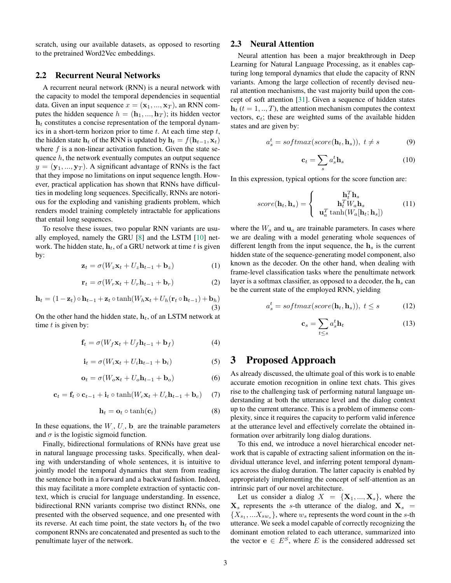scratch, using our available datasets, as opposed to resorting to the pretrained Word2Vec embeddings.

#### 2.2 Recurrent Neural Networks

A recurrent neural network (RNN) is a neural network with the capacity to model the temporal dependencies in sequential data. Given an input sequence  $x = (\mathbf{x}_1, ..., \mathbf{x}_T)$ , an RNN computes the hidden sequence  $h = (\mathbf{h}_1, ..., \mathbf{h}_T)$ ; its hidden vector  $h_t$  constitutes a concise representation of the temporal dynamics in a short-term horizon prior to time  $t$ . At each time step  $t$ , the hidden state  $h_t$  of the RNN is updated by  $h_t = f(h_{t-1}, x_t)$ where  $f$  is a non-linear activation function. Given the state sequence h, the network eventually computes an output sequence  $y = (\mathbf{y}_1, ..., \mathbf{y}_T)$ . A significant advantage of RNNs is the fact that they impose no limitations on input sequence length. However, practical application has shown that RNNs have difficulties in modeling long sequences. Specifically, RNNs are notorious for the exploding and vanishing gradients problem, which renders model training completely intractable for applications that entail long sequences.

To resolve these issues, two popular RNN variants are usually employed, namely the GRU [\[8\]](#page-6-15) and the LSTM [\[10\]](#page-6-14) network. The hidden state,  $h_t$ , of a GRU network at time t is given by:

$$
\mathbf{z}_t = \sigma(W_z \mathbf{x}_t + U_z \mathbf{h}_{t-1} + \mathbf{b}_z)
$$
 (1)

$$
\mathbf{r}_t = \sigma(W_r \mathbf{x}_t + U_r \mathbf{h}_{t-1} + \mathbf{b}_r)
$$
 (2)

$$
\mathbf{h}_t = (1 - \mathbf{z}_t) \circ \mathbf{h}_{t-1} + \mathbf{z}_t \circ \tanh(W_h \mathbf{x}_t + U_h(\mathbf{r}_t \circ \mathbf{h}_{t-1}) + \mathbf{b}_h)
$$
\n(3)

On the other hand the hidden state,  $h_t$ , of an LSTM network at time  $t$  is given by:

$$
\mathbf{f}_t = \sigma(W_f \mathbf{x}_t + U_f \mathbf{h}_{t-1} + \mathbf{b}_f)
$$
 (4)

$$
\mathbf{i}_t = \sigma(W_i \mathbf{x}_t + U_i \mathbf{h}_{t-1} + \mathbf{b}_i)
$$
 (5)

$$
\mathbf{o}_t = \sigma(W_o \mathbf{x}_t + U_o \mathbf{h}_{t-1} + \mathbf{b}_o)
$$
 (6)

$$
\mathbf{c}_t = \mathbf{f}_t \circ \mathbf{c}_{t-1} + \mathbf{i}_t \circ \tanh(W_c \mathbf{x}_t + U_c \mathbf{h}_{t-1} + \mathbf{b}_c) \tag{7}
$$

$$
\mathbf{h}_t = \mathbf{o}_t \circ \tanh(\mathbf{c}_t) \tag{8}
$$

In these equations, the  $W, U$ ,  $\mathbf{b}$  are the trainable parameters and  $\sigma$  is the logistic sigmoid function.

Finally, bidirectional formulations of RNNs have great use in natural language processing tasks. Specifically, when dealing with understanding of whole sentences, it is intuitive to jointly model the temporal dynamics that stem from reading the sentence both in a forward and a backward fashion. Indeed, this may facilitate a more complete extraction of syntactic context, which is crucial for language understanding. In essence, bidirectional RNN variants comprise two distinct RNNs, one presented with the observed sequence, and one presented with its reverse. At each time point, the state vectors  $\mathbf{h}_t$  of the two component RNNs are concatenated and presented as such to the penultimate layer of the network.

### 2.3 Neural Attention

Neural attention has been a major breakthrough in Deep Learning for Natural Language Processing, as it enables capturing long temporal dynamics that elude the capacity of RNN variants. Among the large collection of recently devised neural attention mechanisms, the vast majority build upon the concept of soft attention [\[31\]](#page-7-9). Given a sequence of hidden states  $h_t$  ( $t = 1, ..., T$ ), the attention mechanism computes the context vectors,  $c_t$ ; these are weighted sums of the available hidden states and are given by:

$$
a_s^t = softmax(score(\mathbf{h}_t, \mathbf{h}_s)), \ t \neq s \tag{9}
$$

$$
\mathbf{c}_t = \sum_s a_s^t \mathbf{h}_s \tag{10}
$$

In this expression, typical options for the score function are:

$$
score(\mathbf{h}_t, \mathbf{h}_s) = \begin{cases} \mathbf{h}_t^T \mathbf{h}_s \\ \mathbf{h}_t^T W_a \mathbf{h}_s \\ \mathbf{u}_a^T \tanh(W_a[\mathbf{h}_t; \mathbf{h}_s]) \end{cases} (11)
$$

where the  $W_a$  and  $\mathbf{u}_a$  are trainable parameters. In cases where we are dealing with a model generating whole sequences of different length from the input sequence, the  $h<sub>s</sub>$  is the current hidden state of the sequence-generating model component, also known as the decoder. On the other hand, when dealing with frame-level classification tasks where the penultimate network layer is a softmax classifier, as opposed to a decoder, the  $h_s$  can be the current state of the employed RNN, yielding

<span id="page-2-0"></span>
$$
a_s^t = softmax(score(\mathbf{h}_t, \mathbf{h}_s)), \ t \le s \tag{12}
$$

<span id="page-2-1"></span>
$$
\mathbf{c}_s = \sum_{t \le s} a_s^t \mathbf{h}_t \tag{13}
$$

# 3 Proposed Approach

As already discussed, the ultimate goal of this work is to enable accurate emotion recognition in online text chats. This gives rise to the challenging task of performing natural language understanding at both the utterance level and the dialog context up to the current utterance. This is a problem of immense complexity, since it requires the capacity to perform valid inference at the utterance level and effectively correlate the obtained information over arbitrarily long dialog durations.

To this end, we introduce a novel hierarchical encoder network that is capable of extracting salient information on the individual utterance level, and inferring potent temporal dynamics across the dialog duration. The latter capacity is enabled by appropriately implementing the concept of self-attention as an intrinsic part of our novel architecture.

Let us consider a dialog  $X = \{X_1, ..., X_s\}$ , where the  $X_s$  represents the s-th utterance of the dialog, and  $X_s$  =  $\{X_{s_1},...X_{s w_s}\}\,$  where  $w_s$  represents the word count in the s-th utterance. We seek a model capable of correctly recognizing the dominant emotion related to each utterance, summarized into the vector  $e \in E^S$ , where E is the considered addressed set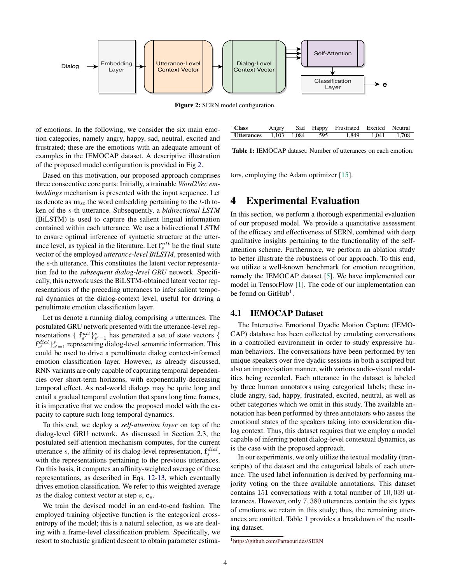<span id="page-3-0"></span>

Figure 2: SERN model configuration.

of emotions. In the following, we consider the six main emotion categories, namely angry, happy, sad, neutral, excited and frustrated; these are the emotions with an adequate amount of examples in the IEMOCAP dataset. A descriptive illustration of the proposed model configuration is provided in Fig [2.](#page-3-0)

Based on this motivation, our proposed approach comprises three consecutive core parts: Initially, a trainable *Word2Vec embeddings* mechanism is presented with the input sequence. Let us denote as  $\mathbf{m}_{st}$  the word embedding pertaining to the t-th token of the s-th utterance. Subsequently, a *bidirectional LSTM* (BiLSTM) is used to capture the salient lingual information contained within each utterance. We use a bidirectional LSTM to ensure optimal inference of syntactic structure at the utterance level, as typical in the literature. Let  $f_s^{utt}$  be the final state vector of the employed *utterance-level BiLSTM*, presented with the s-th utterance. This constitutes the latent vector representation fed to the *subsequent dialog-level GRU* network. Specifically, this network uses the BiLSTM-obtained latent vector representations of the preceding utterances to infer salient temporal dynamics at the dialog-context level, useful for driving a penultimate emotion classification layer.

Let us denote a running dialog comprising s utterances. The postulated GRU network presented with the utterance-level representations {  $\mathbf{f}_{s'}^{utt}$ } $_{s'=1}^{s}$  has generated a set of state vectors {  $\mathbf{f}_{s'}^{dial}\}_{s'=1}^{s}$  representing dialog-level semantic information. This could be used to drive a penultimate dialog context-informed emotion classification layer. However, as already discussed, RNN variants are only capable of capturing temporal dependencies over short-term horizons, with exponentially-decreasing temporal effect. As real-world dialogs may be quite long and entail a gradual temporal evolution that spans long time frames, it is imperative that we endow the proposed model with the capacity to capture such long temporal dynamics.

To this end, we deploy a *self-attention layer* on top of the dialog-level GRU network. As discussed in Section 2.3, the postulated self-attention mechanism computes, for the current utterance s, the affinity of its dialog-level representation,  $f_s^{dial}$ , with the representations pertaining to the previous utterances. On this basis, it computes an affinity-weighted average of these representations, as described in Eqs. [12-](#page-2-0)[13,](#page-2-1) which eventually drives emotion classification. We refer to this weighted average as the dialog context vector at step  $s, c_s$ .

We train the devised model in an end-to-end fashion. The employed training objective function is the categorical crossentropy of the model; this is a natural selection, as we are dealing with a frame-level classification problem. Specifically, we resort to stochastic gradient descent to obtain parameter estima-

<span id="page-3-2"></span>

| <b>Class</b>                      |  | Angry Sad Happy Frustrated Excited Neutral |                   |  |
|-----------------------------------|--|--------------------------------------------|-------------------|--|
| <b>Utterances</b> 1.103 1.084 595 |  |                                            | 1.849 1.041 1.708 |  |

Table 1: IEMOCAP dataset: Number of utterances on each emotion.

tors, employing the Adam optimizer [\[15\]](#page-6-19).

### 4 Experimental Evaluation

In this section, we perform a thorough experimental evaluation of our proposed model. We provide a quantitative assessment of the efficacy and effectiveness of SERN, combined with deep qualitative insights pertaining to the functionality of the selfattention scheme. Furthermore, we perform an ablation study to better illustrate the robustness of our approach. To this end, we utilize a well-known benchmark for emotion recognition, namely the IEMOCAP dataset [\[5\]](#page-6-11). We have implemented our model in TensorFlow [\[1\]](#page-6-20). The code of our implementation can be found on GitHub<sup>[1](#page-3-1)</sup>.

#### 4.1 IEMOCAP Dataset

The Interactive Emotional Dyadic Motion Capture (IEMO-CAP) database has been collected by emulating conversations in a controlled environment in order to study expressive human behaviors. The conversations have been performed by ten unique speakers over five dyadic sessions in both a scripted but also an improvisation manner, with various audio-visual modalities being recorded. Each utterance in the dataset is labeled by three human annotators using categorical labels; these include angry, sad, happy, frustrated, excited, neutral, as well as other categories which we omit in this study. The available annotation has been performed by three annotators who assess the emotional states of the speakers taking into consideration dialog context. Thus, this dataset requires that we employ a model capable of inferring potent dialog-level contextual dynamics, as is the case with the proposed approach.

In our experiments, we only utilize the textual modality (transcripts) of the dataset and the categorical labels of each utterance. The used label information is derived by performing majority voting on the three available annotations. This dataset contains 151 conversations with a total number of 10, 039 utterances. However, only 7, 380 utterances contain the six types of emotions we retain in this study; thus, the remaining utterances are omitted. Table [1](#page-3-2) provides a breakdown of the resulting dataset.

<span id="page-3-1"></span><sup>1</sup><https://github.com/Partaourides/SERN>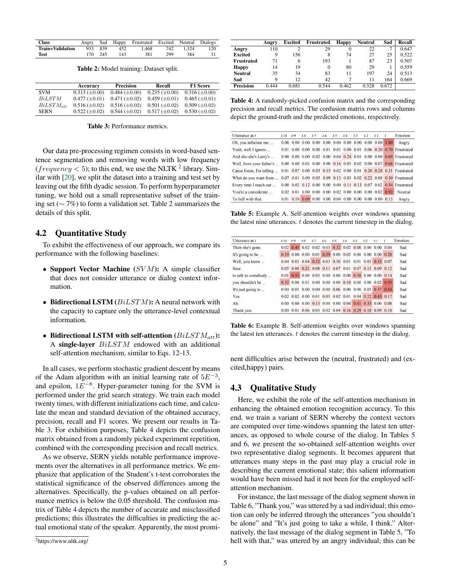<span id="page-4-1"></span>

| <b>Class</b>     | Angry |         | Sad Happy | Frustrated Excited Neutral |     |       | Dialogs |
|------------------|-------|---------|-----------|----------------------------|-----|-------|---------|
| Train+Validation |       | 933 839 | 452       | 1.468                      | 742 | 1.324 | 120     |
| Test             |       | 170 245 | 143       | 381                        | 299 | 384   |         |

Table 2: Model training: Dataset split.

<span id="page-4-2"></span>

|                | Accuracy             | <b>Precision</b>     | Recall               | <b>F1 Score</b>      |
|----------------|----------------------|----------------------|----------------------|----------------------|
| <b>SVM</b>     | $0.313 \ (\pm 0.00)$ | $0.484 \ (\pm 0.00)$ | $0.235 \ (\pm 0.00)$ | $0.316 \ (\pm 0.00)$ |
| <b>BiLSTM</b>  | $0.477 \ (\pm 0.01)$ | $0.471 (\pm 0.02)$   | $0.459 \ (\pm 0.01)$ | $0.465 \ (\pm 0.01)$ |
| $BiLSTM_{att}$ | $0.516 \ (\pm 0.02)$ | $0.516 \ (\pm 0.02)$ | $0.501 \ (\pm 0.02)$ | $0.509 \ (\pm 0.02)$ |
| <b>SERN</b>    | $0.522 \ (\pm 0.02)$ | $0.544 \ (\pm 0.02)$ | $0.517 \ (\pm 0.02)$ | $0.530 \ (\pm 0.02)$ |

Table 3: Performance metrics.

Our data pre-processing regimen consists in word-based sentence segmentation and removing words with low frequency (*frequency*  $<$  5); to this end, we use the NLTK <sup>[2](#page-4-0)</sup> library. Similar with [\[20\]](#page-6-10), we split the dataset into a training and test set by leaving out the fifth dyadic session. To perform hyperparameter tuning, we hold out a small representative subset of the training set (∼ 7%) to form a validation set. Table [2](#page-4-1) summarizes the details of this split.

### 4.2 Quantitative Study

To exhibit the effectiveness of our approach, we compare its performance with the following baselines:

- Support Vector Machine  $(SVM)$ : A simple classifier that does not consider utterance or dialog context information.
- Bidirectional LSTM  $(BiLSTM)$ : A neural network with the capacity to capture only the utterance-level contextual information.
- Bidirectional LSTM with self-attention  $(BiLSTM_{att})$ : A single-layer BiLSTM endowed with an additional self-attention mechanism, similar to Eqs. [12-](#page-2-0)[13.](#page-2-1)

In all cases, we perform stochastic gradient descent by means of the Adam algorithm with an initial learning rate of  $5E^{-3}$ , and epsilon,  $1E^{-8}$ . Hyper-parameter tuning for the SVM is performed under the grid search strategy. We train each model twenty times, with different initializations each time, and calculate the mean and standard deviation of the obtained accuracy, precision, recall and F1 scores. We present our results in Table [3.](#page-4-2) For exhibition purposes, Table [4](#page-4-3) depicts the confusion matrix obtained from a randomly picked experiment repetition, combined with the corresponding precision and recall metrics.

As we observe, SERN yields notable performance improvements over the alternatives in all performance metrics. We emphasize that application of the Student's t-test corroborates the statistical significance of the observed differences among the alternatives. Specifically, the p-values obtained on all performance metrics is below the 0.05 threshold. The confusion matrix of Table [4](#page-4-3) depicts the number of accurate and misclassified predictions; this illustrates the difficulties in predicting the actual emotional state of the speaker. Apparently, the most promi-

<span id="page-4-3"></span>

|                   | Angry | Excited | Frustrated | <b>Happy</b> | <b>Neutral</b> | Sad   | Recall |
|-------------------|-------|---------|------------|--------------|----------------|-------|--------|
| Angry             | 110   |         | 29         | 0            | 22             | ┑     | 0.647  |
| <b>Excited</b>    | 9     | 156     | 8          | 74           | 27             | 25    | 0.522  |
| <b>Frustrated</b> | 71    | 6       | 193        |              | 87             | 23    | 0.507  |
| <b>Happy</b>      | 14    | 19      | 0          | 80           | 29             |       | 0.559  |
| <b>Neutral</b>    | 35    | 34      | 83         | 11           | 197            | 24    | 0.513  |
| Sad               | Q     | 12      | 42         | 7            | 11             | 164   | 0.669  |
| <b>Precision</b>  | 0.444 | 0.681   | 0.544      | 0.462        | 0.528          | 0.672 |        |

Table 4: A randomly-picked confusion matrix and the corresponding precision and recall metrics. The confusion matrix rows and columns depict the ground-truth and the predicted emotions, respectively.

<span id="page-4-4"></span>

| Utterance at $t$                                                                             | $1 - 10$ | $t=9$ | $L-8$ | $1 - 7$ | $t-6$ $t-5$ $t-4$ | $1 - 3$ | $1 - 2$ | $t-1$ $t$ |                                                                                     | <b>Emotion</b>                                                    |
|----------------------------------------------------------------------------------------------|----------|-------|-------|---------|-------------------|---------|---------|-----------|-------------------------------------------------------------------------------------|-------------------------------------------------------------------|
| Oh, you infuriate me                                                                         |          |       |       |         |                   |         |         |           | $0.00$ $0.00$ $0.00$ $0.00$ $0.00$ $0.00$ $0.00$ $0.00$ $0.00$ $0.00$ $0.00$ $1.00$ | Angry                                                             |
| Yeah, well I ignore                                                                          |          |       |       |         |                   |         |         |           |                                                                                     | 0.01 0.00 0.00 0.00 0.01 0.01 0.00 0.01 0.06 0.20 0.70 Frustrated |
| And she-she's Larry's                                                                        |          |       |       |         |                   |         |         |           |                                                                                     | 0.00 0.00 0.00 0.02 0.00 0.04 0.24 0.01 0.00 0.00 0.69 Frustrated |
| Well, from your father's                                                                     |          |       |       |         |                   |         |         |           |                                                                                     | 0.00 0.00 0.01 0.00 0.00 0.16 0.05 0.02 0.00 0.07 0.68 Frustrated |
| Cause listen, I'm telling  0.01 0.07 0.00 0.03 0.15 0.02 0.00 0.01 0.20 0.28 0.21 Frustrated |          |       |       |         |                   |         |         |           |                                                                                     |                                                                   |
| What do you want from  0.07 0.01 0.00 0.05 0.09 0.13 0.03 0.02 0.22 0.08 0.30 Frustrated     |          |       |       |         |                   |         |         |           |                                                                                     |                                                                   |
| Every time I reach out                                                                       |          |       |       |         |                   |         |         |           |                                                                                     | 0.00 0.02 0.12 0.00 0.00 0.00 0.11 0.13 0.07 0.02 0.54 Frustrated |
| You're a considerate                                                                         |          |       |       |         |                   |         |         |           |                                                                                     | <b>Neutral</b>                                                    |
| To hell with that.                                                                           |          |       |       |         |                   |         |         |           | $0.01$ $0.10$ $0.69$ $0.00$ $0.00$ $0.04$ $0.00$ $0.00$ $0.00$ $0.00$ $0.15$        | Angry                                                             |

Table 5: Example A. Self-attention weights over windows spanning the latest nine utterances.  $t$  denotes the current timestep in the dialog.

<span id="page-4-5"></span>

| Utterance at $t$            | $t - 10$ | $t-9$ | $t-8$ | $t-7$ | $t-6$ | $t-5$ | $t-4$ | $t-3$ | $t-2$ | $t-1$                                                    | Ť. | Emotion |
|-----------------------------|----------|-------|-------|-------|-------|-------|-------|-------|-------|----------------------------------------------------------|----|---------|
| Then she's gone.            | 0.02     |       |       |       |       |       |       |       |       | $0.45$ 0.02 0.02 0.03 0.32 0.02 0.08 0.00 0.00 0.04      |    | Sad     |
| It's going to be $\ldots$   |          |       |       |       |       |       |       |       |       | $0.29$ 0.00 0.00 0.01 0.39 0.00 0.02 0.00 0.00 0.00 0.28 |    | Sad     |
| Well, you know              |          |       |       |       |       |       |       |       |       | 0.04 0.03 0.04 0.32 0.03 0.10 0.01 0.01 0.03 0.33 0.07   |    | Sad     |
| <b>Sure</b>                 |          |       |       |       |       |       |       |       |       | 0.05 0.08 0.21 0.08 0.11 0.07 0.01 0.07 0.11 0.09 0.12   |    | Sad     |
| to talk to somebody         | 0.01     |       |       |       |       |       |       |       |       |                                                          |    | Sad     |
| you shouldn't be            |          |       |       |       |       |       |       |       |       |                                                          |    | Sad     |
| It's just going to $\ldots$ |          |       |       |       |       |       |       |       |       |                                                          |    | Sad     |
| Yes.                        |          |       |       |       |       |       |       |       |       | 0.02 0.02 0.00 0.01 0.05 0.02 0.01 0.04 0.22 0.43 0.17   |    | Sad     |
| Ah.                         |          |       |       |       |       |       |       |       |       | 0.00 0.00 0.00 0.13 0.00 0.00 0.04 0.41 0.33 0.00 0.08   |    | Sad     |
| Thank you.                  |          |       |       |       |       |       |       |       |       | 0.00 0.01 0.06 0.03 0.02 0.04 0.16 0.29 0.18 0.09 0.10   |    | Sad     |

Table 6: Example B. Self-attention weights over windows spanning the latest ten utterances.  $t$  denotes the current timestep in the dialog.

nent difficulties arise between the (neutral, frustrated) and (excited,happy) pairs.

### 4.3 Qualitative Study

Here, we exhibit the role of the self-attention mechanism in enhancing the obtained emotion recognition accuracy. To this end, we train a variant of SERN whereby the context vectors are computed over time-windows spanning the latest ten utterances, as opposed to whole course of the dialog. In Tables [5](#page-4-4) and [6,](#page-4-5) we present the so-obtained self-attention weights over two representative dialog segments. It becomes apparent that utterances many steps in the past may play a crucial role in describing the current emotional state; this salient information would have been missed had it not been for the employed selfattention mechanism.

For instance, the last message of the dialog segment shown in Table [6,](#page-4-5) "Thank you," was uttered by a sad individual; this emotion can only be inferred through the utterances "you shouldn't be alone" and "It's just going to take a while, I think." Alternatively, the last message of the dialog segment in Table [5,](#page-4-4) "To hell with that," was uttered by an angry individual; this can be

<span id="page-4-0"></span><sup>2</sup>https://www.nltk.org/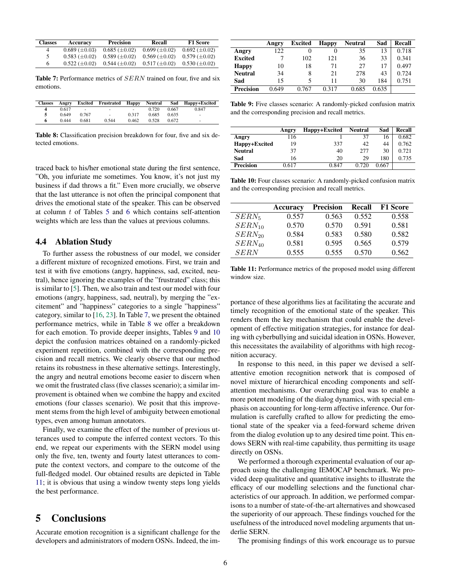<span id="page-5-0"></span>

| <b>Classes</b> | Accuracy             | <b>Precision</b>     | Recall               | <b>F1 Score</b>      |
|----------------|----------------------|----------------------|----------------------|----------------------|
| 4              | $0.689 \ (\pm 0.03)$ | $0.685 \ (\pm 0.02)$ | $0.699 \ (\pm 0.02)$ | $0.692 \ (\pm 0.02)$ |
|                | $0.583 \ (\pm 0.02)$ | $0.589 \ (\pm 0.02)$ | $0.569 \ (\pm 0.02)$ | $0.579 \ (\pm 0.02)$ |
| 6              | $0.522 (+0.02)$      | $0.544 \ (\pm 0.02)$ | $0.517 \ (\pm 0.02)$ | $0.530 \ (\pm 0.02)$ |

Table 7: Performance metrics of *SERN* trained on four, five and six emotions.

<span id="page-5-1"></span>

| <b>Classes</b> | Angry |                          | <b>Excited Frustrated Happy</b> |       | Neutral |       | Sad Happy+Excited |
|----------------|-------|--------------------------|---------------------------------|-------|---------|-------|-------------------|
|                | 0.617 | $\overline{\phantom{a}}$ | ۰                               | ٠     | 0.720   | 0.667 | 0.847             |
|                | 0.649 | 0.767                    | ٠                               | 0.317 | 0.685   | 0.635 | ٠                 |
| 6              | 0.444 | 0.681                    | 0.544                           | 0.462 | 0.528   | 0.672 | ٠                 |

Table 8: Classification precision breakdown for four, five and six detected emotions.

traced back to his/her emotional state during the first sentence, "Oh, you infuriate me sometimes. You know, it's not just my business if dad throws a fit." Even more crucially, we observe that the last utterance is not often the principal component that drives the emotional state of the speaker. This can be observed at column  $t$  of Tables [5](#page-4-4) and [6](#page-4-5) which contains self-attention weights which are less than the values at previous columns.

### 4.4 Ablation Study

To further assess the robustness of our model, we consider a different mixture of recognized emotions. First, we train and test it with five emotions (angry, happiness, sad, excited, neutral), hence ignoring the examples of the "frustrated" class; this is similar to [\[5\]](#page-6-11). Then, we also train and test our model with four emotions (angry, happiness, sad, neutral), by merging the "excitement" and "happiness" categories to a single "happiness" category, similar to [\[16,](#page-6-21) [23\]](#page-6-22). In Table [7,](#page-5-0) we present the obtained performance metrics, while in Table [8](#page-5-1) we offer a breakdown for each emotion. To provide deeper insights, Tables [9](#page-5-2) and [10](#page-5-3) depict the confusion matrices obtained on a randomly-picked experiment repetition, combined with the corresponding precision and recall metrics. We clearly observe that our method retains its robustness in these alternative settings. Interestingly, the angry and neutral emotions become easier to discern when we omit the frustrated class (five classes scenario); a similar improvement is obtained when we combine the happy and excited emotions (four classes scenario). We posit that this improvement stems from the high level of ambiguity between emotional types, even among human annotators.

Finally, we examine the effect of the number of previous utterances used to compute the inferred context vectors. To this end, we repeat our experiments with the SERN model using only the five, ten, twenty and fourty latest utterances to compute the context vectors, and compare to the outcome of the full-fledged model. Our obtained results are depicted in Table [11;](#page-5-4) it is obvious that using a window twenty steps long yields the best performance.

# 5 Conclusions

Accurate emotion recognition is a significant challenge for the developers and administrators of modern OSNs. Indeed, the im-

<span id="page-5-2"></span>

|                  | Angry | Excited | <b>Happy</b> | <b>Neutral</b> | Sad   | Recall |
|------------------|-------|---------|--------------|----------------|-------|--------|
| Angry            | 122   |         | 0            | 35             | 13    | 0.718  |
| <b>Excited</b>   | 7     | 102     | 121          | 36             | 33    | 0.341  |
| <b>Happy</b>     | 10    | 18      | 71           | 27             | 17    | 0.497  |
| <b>Neutral</b>   | 34    | 8       | 21           | 278            | 43    | 0.724  |
| Sad              | 15    | 5       | 11           | 30             | 184   | 0.751  |
| <b>Precision</b> | 0.649 | 0.767   | 0.317        | 0.685          | 0.635 |        |

Table 9: Five classes scenario: A randomly-picked confusion matrix and the corresponding precision and recall metrics.

<span id="page-5-3"></span>

|                  | Angry | Happy+Excited | Neutral | Sad   | Recall |
|------------------|-------|---------------|---------|-------|--------|
| Angry            | 116   |               | 37      | 16    | 0.682  |
| Happy+Excited    | 19    | 337           | 42      | 44    | 0.762  |
| <b>Neutral</b>   | 37    | 40            | 277     | 30    | 0.721  |
| Sad              | 16    | 20            | 29      | 180   | 0.735  |
| <b>Precision</b> | 0.617 | 0.847         | 0.720   | 0.667 |        |

Table 10: Four classes scenario: A randomly-picked confusion matrix and the corresponding precision and recall metrics.

<span id="page-5-4"></span>

|             | <b>Accuracy</b> | <b>Precision</b> | Recall | <b>F1 Score</b> |
|-------------|-----------------|------------------|--------|-----------------|
| $SERN_{5}$  | 0.557           | 0.563            | 0.552  | 0.558           |
| $SERN_{10}$ | 0.570           | 0.570            | 0.591  | 0.581           |
| $SERN_{20}$ | 0.584           | 0.583            | 0.580  | 0.582           |
| $SERN_{40}$ | 0.581           | 0.595            | 0.565  | 0.579           |
| <b>SERN</b> | 0.555           | 0.555            | 0.570  | 0.562           |

Table 11: Performance metrics of the proposed model using different window size.

portance of these algorithms lies at facilitating the accurate and timely recognition of the emotional state of the speaker. This renders them the key mechanism that could enable the development of effective mitigation strategies, for instance for dealing with cyberbullying and suicidal ideation in OSNs. However, this necessitates the availability of algorithms with high recognition accuracy.

In response to this need, in this paper we devised a selfattentive emotion recognition network that is composed of novel mixture of hierarchical encoding components and selfattention mechanisms. Our overarching goal was to enable a more potent modeling of the dialog dynamics, with special emphasis on accounting for long-term affective inference. Our formulation is carefully crafted to allow for predicting the emotional state of the speaker via a feed-forward scheme driven from the dialog evolution up to any desired time point. This endows SERN with real-time capability, thus permitting its usage directly on OSNs.

We performed a thorough experimental evaluation of our approach using the challenging IEMOCAP benchmark. We provided deep qualitative and quantitative insights to illustrate the efficacy of our modelling selections and the functional characteristics of our approach. In addition, we performed comparisons to a number of state-of-the-art alternatives and showcased the superiority of our approach. These findings vouched for the usefulness of the introduced novel modeling arguments that underlie SERN.

The promising findings of this work encourage us to pursue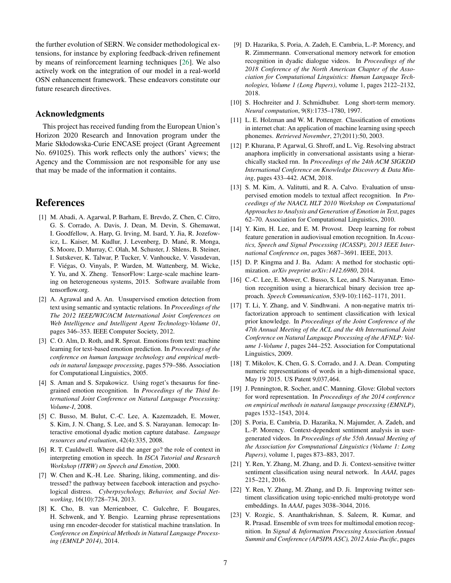the further evolution of SERN. We consider methodological extensions, for instance by exploring feedback-driven refinement by means of reinforcement learning techniques [\[26\]](#page-7-10). We also actively work on the integration of our model in a real-world OSN enhancement framework. These endeavors constitute our future research directives.

### Acknowledgments

This project has received funding from the European Union's Horizon 2020 Research and Innovation program under the Marie Skłodowska-Curie ENCASE project (Grant Agreement No. 691025). This work reflects only the authors' views; the Agency and the Commission are not responsible for any use that may be made of the information it contains.

### References

- <span id="page-6-20"></span>[1] M. Abadi, A. Agarwal, P. Barham, E. Brevdo, Z. Chen, C. Citro, G. S. Corrado, A. Davis, J. Dean, M. Devin, S. Ghemawat, I. Goodfellow, A. Harp, G. Irving, M. Isard, Y. Jia, R. Jozefowicz, L. Kaiser, M. Kudlur, J. Levenberg, D. Mané, R. Monga, S. Moore, D. Murray, C. Olah, M. Schuster, J. Shlens, B. Steiner, I. Sutskever, K. Talwar, P. Tucker, V. Vanhoucke, V. Vasudevan, F. Viegas, O. Vinyals, P. Warden, M. Wattenberg, M. Wicke, ´ Y. Yu, and X. Zheng. TensorFlow: Large-scale machine learning on heterogeneous systems, 2015. Software available from tensorflow.org.
- <span id="page-6-7"></span>[2] A. Agrawal and A. An. Unsupervised emotion detection from text using semantic and syntactic relations. In *Proceedings of the The 2012 IEEE/WIC/ACM International Joint Conferences on Web Intelligence and Intelligent Agent Technology-Volume 01*, pages 346–353. IEEE Computer Society, 2012.
- <span id="page-6-2"></span>[3] C. O. Alm, D. Roth, and R. Sproat. Emotions from text: machine learning for text-based emotion prediction. In *Proceedings of the conference on human language technology and empirical methods in natural language processing*, pages 579–586. Association for Computational Linguistics, 2005.
- <span id="page-6-6"></span>[4] S. Aman and S. Szpakowicz. Using roget's thesaurus for finegrained emotion recognition. In *Proceedings of the Third International Joint Conference on Natural Language Processing: Volume-I*, 2008.
- <span id="page-6-11"></span>[5] C. Busso, M. Bulut, C.-C. Lee, A. Kazemzadeh, E. Mower, S. Kim, J. N. Chang, S. Lee, and S. S. Narayanan. Iemocap: Interactive emotional dyadic motion capture database. *Language resources and evaluation*, 42(4):335, 2008.
- <span id="page-6-8"></span>[6] R. T. Cauldwell. Where did the anger go? the role of context in interpreting emotion in speech. In *ISCA Tutorial and Research Workshop (ITRW) on Speech and Emotion*, 2000.
- <span id="page-6-16"></span>[7] W. Chen and K.-H. Lee. Sharing, liking, commenting, and distressed? the pathway between facebook interaction and psychological distress. *Cyberpsychology, Behavior, and Social Networking*, 16(10):728–734, 2013.
- <span id="page-6-15"></span>[8] K. Cho, B. van Merrienboer, C. Gulcehre, F. Bougares, H. Schwenk, and Y. Bengio. Learning phrase representations using rnn encoder-decoder for statistical machine translation. In *Conference on Empirical Methods in Natural Language Processing (EMNLP 2014)*, 2014.
- <span id="page-6-12"></span>[9] D. Hazarika, S. Poria, A. Zadeh, E. Cambria, L.-P. Morency, and R. Zimmermann. Conversational memory network for emotion recognition in dyadic dialogue videos. In *Proceedings of the 2018 Conference of the North American Chapter of the Association for Computational Linguistics: Human Language Technologies, Volume 1 (Long Papers)*, volume 1, pages 2122–2132, 2018.
- <span id="page-6-14"></span>[10] S. Hochreiter and J. Schmidhuber. Long short-term memory. *Neural computation*, 9(8):1735–1780, 1997.
- <span id="page-6-4"></span>[11] L. E. Holzman and W. M. Pottenger. Classification of emotions in internet chat: An application of machine learning using speech phonemes. *Retrieved November*, 27(2011):50, 2003.
- <span id="page-6-13"></span>[12] P. Khurana, P. Agarwal, G. Shroff, and L. Vig. Resolving abstract anaphora implicitly in conversational assistants using a hierarchically stacked rnn. In *Proceedings of the 24th ACM SIGKDD International Conference on Knowledge Discovery & Data Mining*, pages 433–442. ACM, 2018.
- <span id="page-6-3"></span>[13] S. M. Kim, A. Valitutti, and R. A. Calvo. Evaluation of unsupervised emotion models to textual affect recognition. In *Proceedings of the NAACL HLT 2010 Workshop on Computational Approaches to Analysis and Generation of Emotion in Text*, pages 62–70. Association for Computational Linguistics, 2010.
- <span id="page-6-5"></span>[14] Y. Kim, H. Lee, and E. M. Provost. Deep learning for robust feature generation in audiovisual emotion recognition. In *Acoustics, Speech and Signal Processing (ICASSP), 2013 IEEE International Conference on*, pages 3687–3691. IEEE, 2013.
- <span id="page-6-19"></span>[15] D. P. Kingma and J. Ba. Adam: A method for stochastic optimization. *arXiv preprint arXiv:1412.6980*, 2014.
- <span id="page-6-21"></span>[16] C.-C. Lee, E. Mower, C. Busso, S. Lee, and S. Narayanan. Emotion recognition using a hierarchical binary decision tree approach. *Speech Communication*, 53(9-10):1162–1171, 2011.
- <span id="page-6-0"></span>[17] T. Li, Y. Zhang, and V. Sindhwani. A non-negative matrix trifactorization approach to sentiment classification with lexical prior knowledge. In *Proceedings of the Joint Conference of the 47th Annual Meeting of the ACL and the 4th International Joint Conference on Natural Language Processing of the AFNLP: Volume 1-Volume 1*, pages 244–252. Association for Computational Linguistics, 2009.
- <span id="page-6-17"></span>[18] T. Mikolov, K. Chen, G. S. Corrado, and J. A. Dean. Computing numeric representations of words in a high-dimensional space, May 19 2015. US Patent 9,037,464.
- <span id="page-6-18"></span>[19] J. Pennington, R. Socher, and C. Manning. Glove: Global vectors for word representation. In *Proceedings of the 2014 conference on empirical methods in natural language processing (EMNLP)*, pages 1532–1543, 2014.
- <span id="page-6-10"></span>[20] S. Poria, E. Cambria, D. Hazarika, N. Majumder, A. Zadeh, and L.-P. Morency. Context-dependent sentiment analysis in usergenerated videos. In *Proceedings of the 55th Annual Meeting of the Association for Computational Linguistics (Volume 1: Long Papers)*, volume 1, pages 873–883, 2017.
- <span id="page-6-9"></span>[21] Y. Ren, Y. Zhang, M. Zhang, and D. Ji. Context-sensitive twitter sentiment classification using neural network. In *AAAI*, pages 215–221, 2016.
- <span id="page-6-1"></span>[22] Y. Ren, Y. Zhang, M. Zhang, and D. Ji. Improving twitter sentiment classification using topic-enriched multi-prototype word embeddings. In *AAAI*, pages 3038–3044, 2016.
- <span id="page-6-22"></span>[23] V. Rozgic, S. Ananthakrishnan, S. Saleem, R. Kumar, and R. Prasad. Ensemble of svm trees for multimodal emotion recognition. In *Signal & Information Processing Association Annual Summit and Conference (APSIPA ASC), 2012 Asia-Pacific*, pages